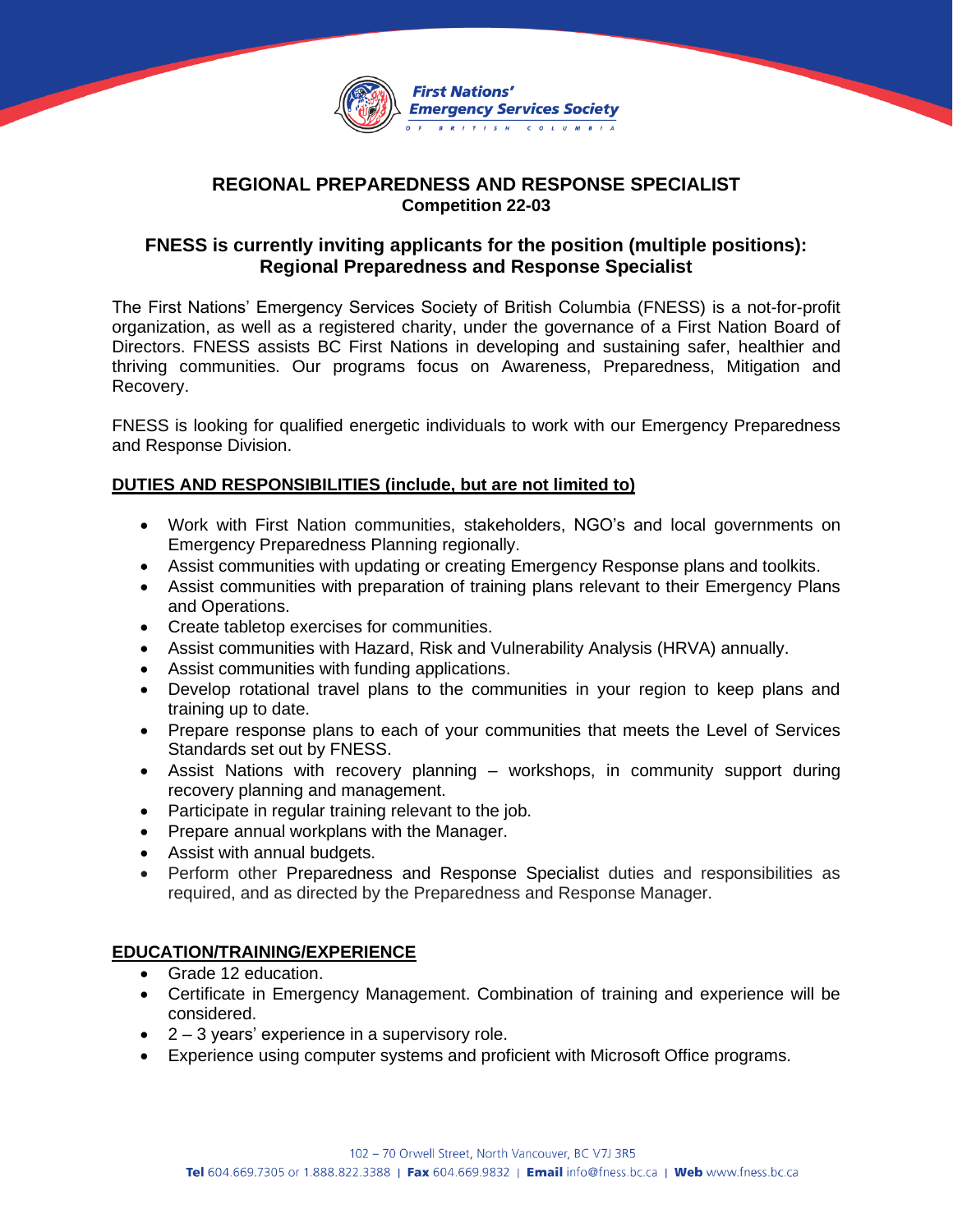

# **REGIONAL PREPAREDNESS AND RESPONSE SPECIALIST Competition 22-03**

# **FNESS is currently inviting applicants for the position (multiple positions): Regional Preparedness and Response Specialist**

The First Nations' Emergency Services Society of British Columbia (FNESS) is a not-for-profit organization, as well as a registered charity, under the governance of a First Nation Board of Directors. FNESS assists BC First Nations in developing and sustaining safer, healthier and thriving communities. Our programs focus on Awareness, Preparedness, Mitigation and Recovery.

FNESS is looking for qualified energetic individuals to work with our Emergency Preparedness and Response Division.

### **DUTIES AND RESPONSIBILITIES (include, but are not limited to)**

- Work with First Nation communities, stakeholders, NGO's and local governments on Emergency Preparedness Planning regionally.
- Assist communities with updating or creating Emergency Response plans and toolkits.
- Assist communities with preparation of training plans relevant to their Emergency Plans and Operations.
- Create tabletop exercises for communities.
- Assist communities with Hazard, Risk and Vulnerability Analysis (HRVA) annually.
- Assist communities with funding applications.
- Develop rotational travel plans to the communities in your region to keep plans and training up to date.
- Prepare response plans to each of your communities that meets the Level of Services Standards set out by FNESS.
- Assist Nations with recovery planning workshops, in community support during recovery planning and management.
- Participate in regular training relevant to the job.
- Prepare annual workplans with the Manager.
- Assist with annual budgets.
- Perform other Preparedness and Response Specialist duties and responsibilities as required, and as directed by the Preparedness and Response Manager.

### **EDUCATION/TRAINING/EXPERIENCE**

- Grade 12 education.
- Certificate in Emergency Management. Combination of training and experience will be considered.
- $\bullet$  2 3 years' experience in a supervisory role.
- Experience using computer systems and proficient with Microsoft Office programs.